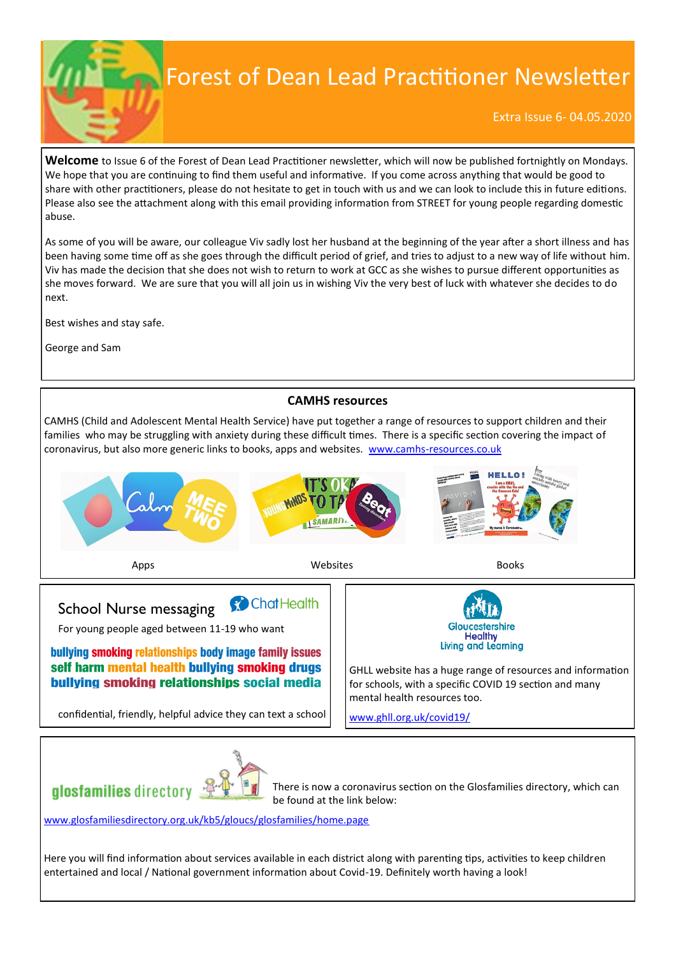## Forest of Dean Lead Practitioner Newsletter

Extra Issue 6- 04.05.2020

**Welcome** to Issue 6 of the Forest of Dean Lead Practitioner newsletter, which will now be published fortnightly on Mondays. We hope that you are continuing to find them useful and informative. If you come across anything that would be good to share with other practitioners, please do not hesitate to get in touch with us and we can look to include this in future editions. Please also see the attachment along with this email providing information from STREET for young people regarding domestic abuse.

As some of you will be aware, our colleague Viv sadly lost her husband at the beginning of the year after a short illness and has been having some time off as she goes through the difficult period of grief, and tries to adjust to a new way of life without him. Viv has made the decision that she does not wish to return to work at GCC as she wishes to pursue different opportunities as she moves forward. We are sure that you will all join us in wishing Viv the very best of luck with whatever she decides to do next.

Best wishes and stay safe.

George and Sam

## **CAMHS resources**

CAMHS (Child and Adolescent Mental Health Service) have put together a range of resources to support children and their families who may be struggling with anxiety during these difficult times. There is a specific section covering the impact of coronavirus, but also more generic links to books, apps and websites. www.camhs-[resources.co.uk](http://www.camhs-resources.co.uk)





There is now a coronavirus section on the Glosfamilies directory, which can be found at the link below:

[www.glosfamiliesdirectory.org.uk/kb5/gloucs/glosfamilies/home.page](http://www.glosfamiliesdirectory.org.uk/kb5/gloucs/glosfamilies/home.page)

**alosfamilies** directory

Here you will find information about services available in each district along with parenting tips, activities to keep children entertained and local / National government information about Covid-19. Definitely worth having a look!